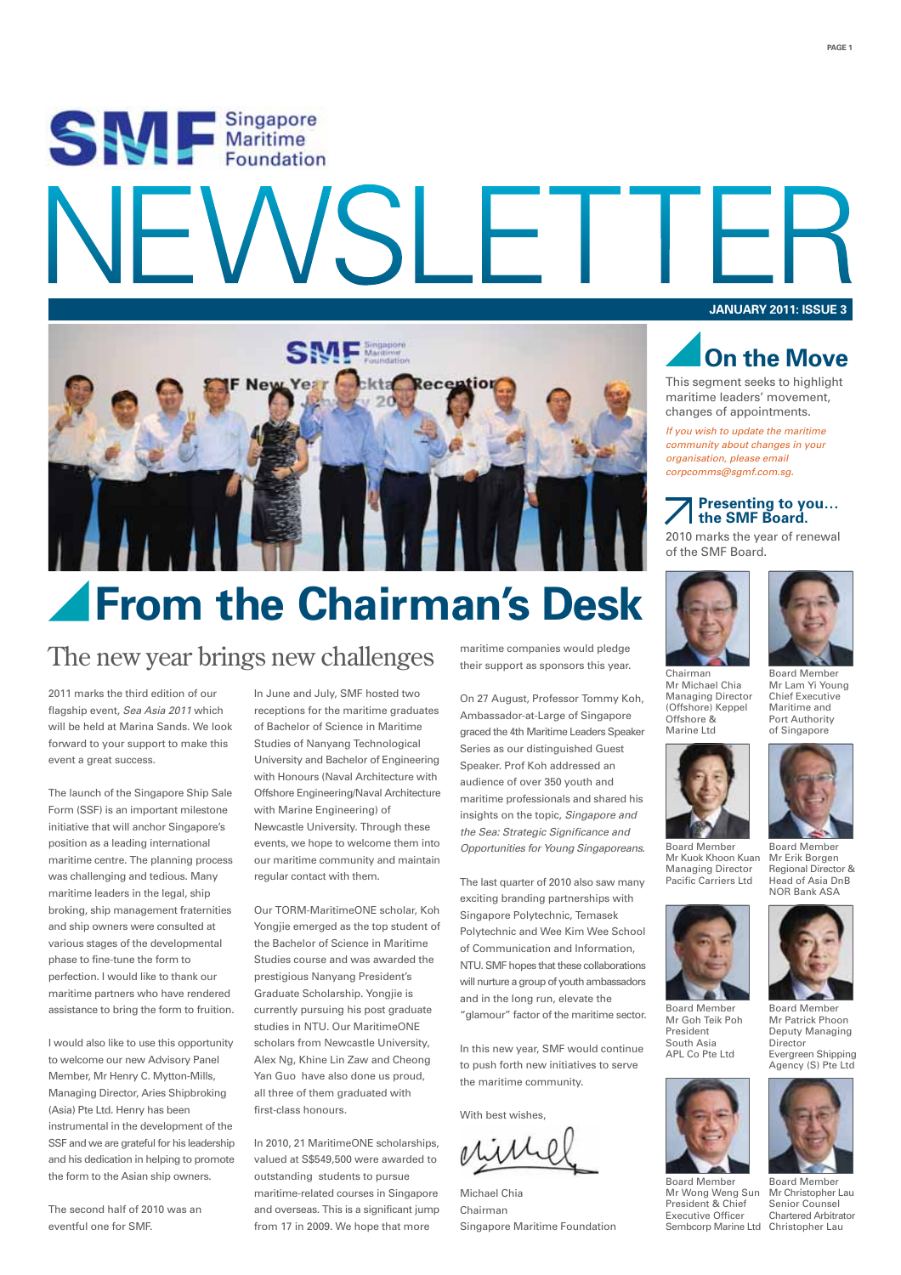# SW Esingapore SI F **JANUARY 2011: ISSUE 3**



## *<u>AFrom the Chairman's Desk</u>*

### The new year brings new challenges maritime companies would pledge

2011 marks the third edition of our flagship event, *Sea Asia 2011* which will be held at Marina Sands. We look forward to your support to make this event a great success.

The launch of the Singapore Ship Sale Form (SSF) is an important milestone initiative that will anchor Singapore's position as a leading international maritime centre. The planning process was challenging and tedious. Many maritime leaders in the legal, ship broking, ship management fraternities and ship owners were consulted at various stages of the developmental phase to fine-tune the form to perfection. I would like to thank our maritime partners who have rendered assistance to bring the form to fruition.

I would also like to use this opportunity to welcome our new Advisory Panel Member, Mr Henry C. Mytton-Mills, Managing Director, Aries Shipbroking (Asia) Pte Ltd. Henry has been instrumental in the development of the SSF and we are grateful for his leadership and his dedication in helping to promote the form to the Asian ship owners.

The second half of 2010 was an eventful one for SMF.

In June and July, SMF hosted two receptions for the maritime graduates of Bachelor of Science in Maritime Studies of Nanyang Technological University and Bachelor of Engineering with Honours (Naval Architecture with Offshore Engineering/Naval Architecture with Marine Engineering) of Newcastle University. Through these events, we hope to welcome them into our maritime community and maintain regular contact with them.

Our TORM-MaritimeONE scholar, Koh Yongjie emerged as the top student of the Bachelor of Science in Maritime Studies course and was awarded the prestigious Nanyang President's Graduate Scholarship. Yongjie is currently pursuing his post graduate studies in NTU. Our MaritimeONE scholars from Newcastle University, Alex Ng, Khine Lin Zaw and Cheong Yan Guo have also done us proud, all three of them graduated with first-class honours.

In 2010, 21 MaritimeONE scholarships, valued at S\$549,500 were awarded to outstanding students to pursue maritime-related courses in Singapore and overseas. This is a significant jump from 17 in 2009. We hope that more

their support as sponsors this year.

On 27 August, Professor Tommy Koh, Ambassador-at-Large of Singapore graced the 4th Maritime Leaders Speaker Series as our distinguished Guest Speaker. Prof Koh addressed an audience of over 350 youth and maritime professionals and shared his insights on the topic, *Singapore and the Sea: Strategic Significance and Opportunities for Young Singaporeans*.

The last quarter of 2010 also saw many exciting branding partnerships with Singapore Polytechnic, Temasek Polytechnic and Wee Kim Wee School of Communication and Information, NTU. SMF hopes that these collaborations will nurture a group of youth ambassadors and in the long run, elevate the "glamour" factor of the maritime sector.

In this new year, SMF would continue to push forth new initiatives to serve the maritime community.

With best wishes.

Michael Chia Chairman Singapore Maritime Foundation



This segment seeks to highlight maritime leaders' movement, changes of appointments.

*If you wish to update the maritime community about changes in your organisation, please email corpcomms@sgmf.com.sg.*

### **Presenting to you… the SMF Board.**

2010 marks the year of renewal of the SMF Board.





Mr Lam Yi Young Chief Executive Maritime and Port Authority of Singapore

Chairman Mr Michael Chia Managing Director (Offshore) Keppel Offshore & Marine Ltd



Managing Director Pacific Carriers Ltd

Mr Kuok Khoon Kuan Board Member Mr Erik Borgen Regional Director & Head of Asia DnB NOR Bank ASA



Mr Goh Teik Poh President South Asia APL Co Pte Ltd

Mr Wong Weng Sun President & Chief Executive Officer



Evergreen Shipping Agency (S) Pte Ltd



Sembcorp Marine Ltd Christopher Lau Board Member Mr Christopher Lau Senior Counsel Chartered Arbitrator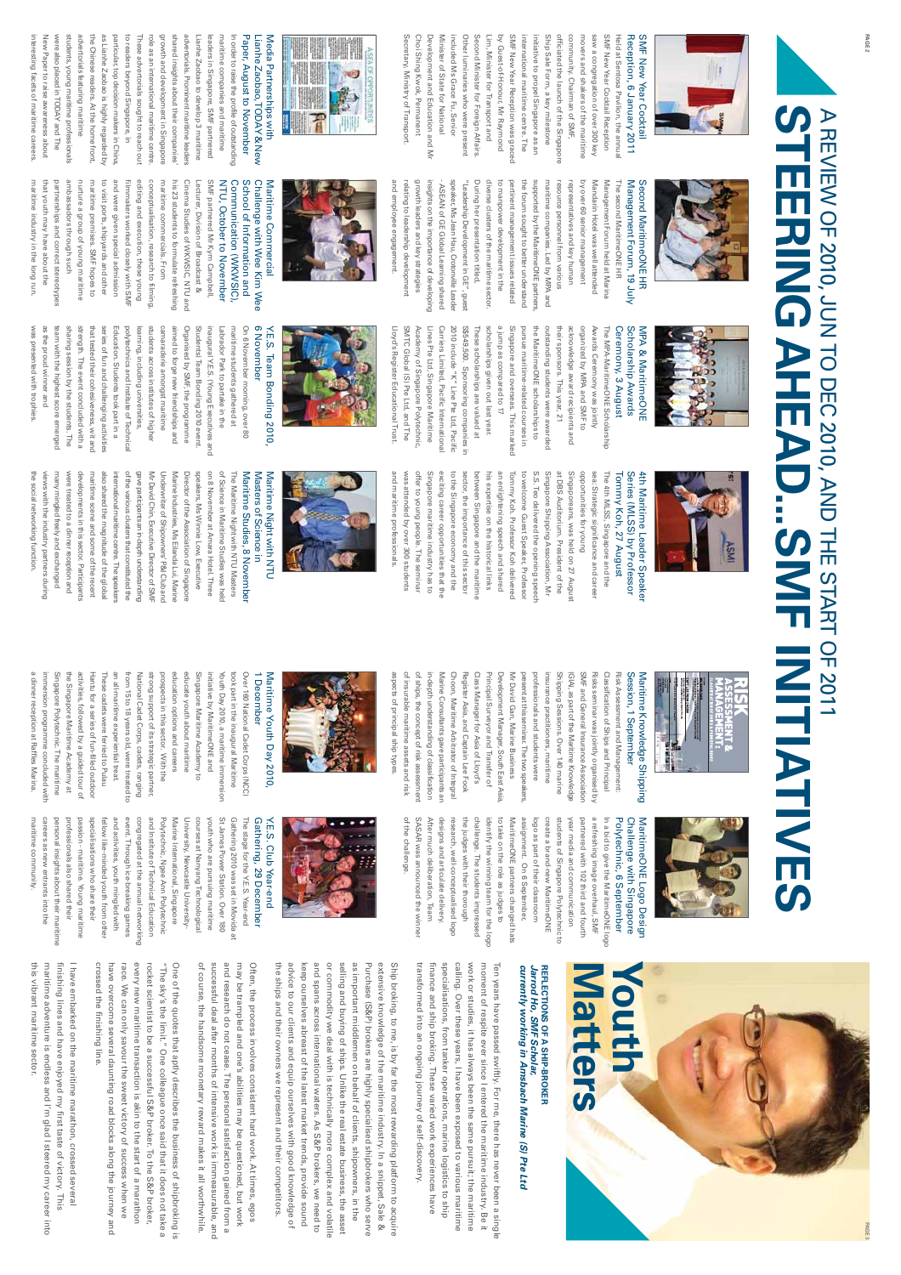

Choi Shing Kwok, Permanent Development and Education and Mr Minister of State for National Other luminaries who were present by Guest-of-Honour, Mr Raymond SMF New Year Reception was graced Ship Sale Form, a key milestone SMF New Year Cocktail Reception Reception, 6 January 2011 Choi Shing Kwok, Permanent Other luminaries who were present Second Minister for Foreign Affairs Second Minister for Foreign Affairs. Lim, Minister for Transport and SMF New Year Reception was graced initiative to propel Singapore as an Ship Sale Form, a key milestone officiated the launch of the Singapore officiated the launch of the Singapore community. Chairman of SMF, community. Chairman of SMF, movers and shakers of the maritime saw a congregation of over 300 key saw a congregation of over 300 key SMF New Year Cocktail Reception Held at Sentosa Pavilion, the annua SMF New Year Cocktail Development and Education and Mr Minister of State for National included Ms Grace Fu, Senior included Ms Grace Fu, Senior Lim, Minister for Transport and by Guest-of-Honour, Mr Raymond international maritime centre. The international maritime centre. The initiative to propel Singapore as an movers and shakers of the maritime Held at Sentosa Pavilion, the annual Reception, 6 January 2011 SMF New Year Cocktail

> resource personnel from various representatives and key human by over 60 senior management Mandarin Hotel was well attended

resource personnel from various

maritime companies. Led by MPA and representatives and key human g

over 60 senior management

Mandarin Hotel was well attended



the Chinese readers. At the home front Paper, August to November New Paper to raise awareness about were also placed in TODAY and The were also placed in TODAY students, young maritime professionals students, young maritime professionals advertorials featuring mantime advertorials featuring ma the Chinese readers. At the home front, as Lianhe Zaobao is highly regarded by as Lianhe Zaobao is highly regarded by particular, top decision-makers in China to readers beyond Singapore, in to readers beyond Singapore, in These advertorials sought to reach out growth and development in Singapore growth and development in Singapore shared insights abo advertorials. Prominent maritime leaders leaders in Singapore, SMF partnered Lianhe Zaobao,TODAY & New interesting facets of maritime careers interesting facets of maritime careers. New Paper to raise awareness about particular, top decision-makers in China, These advertorials sought to reach out role as an international maritime centre. role as an international maritime centre. shared insights about their companies' advertorials. Prominent maritime leaders Lianhe Zaobao to develop 3 maritime Lianhe Zaobao to develop 3 maritime leaders in Singapore, SMF partnered maritime companies and maritime maritime companies and maritime In order to raise the profile of outstanding In order to raise the profile of outstanding Paper, August to November Lianhe Zaobao, TODAY & New ut their companies' and The



### The second MaritimeONE HR Management Forum, 19 July Second MaritimeONE HR Second MaritimeONE HR Management Forum held at Marina Management Forum held at Marina The second MaritimeONE HR Management Forum, 19 July

insights on the importance of developing insights on the importance of developing - ASEAN of GE Global Learning shared speaker, Ms Jean Hau, Crotonville Leader diverse clusters of the maritime sector. the forum sought to better understand the forum sought to better understand supported by the MaritimeONE partners supported by the MaritimeONE partners, maritime companies. Led by MPA and ASEAN of GE Global Learning shared speaker, Ms Jean Hau, Crotomville Leade "Leadership Development in GE", gues Development in GE", guest Lloyd's Register Educational Trust Lloyd's Register Educational Trust. SMTC Global (S) Pte Ltd, and The SMTC Global (S) Pte Ltd, and The Academy of Singapore Polytechnic Academy of Singapore Polytechnic, Lines Pte Ltd, Singapore Maritime Lines Pte Ltd, Singapore Maritime Carriers Limited, Pacific Internationa Carriers Limited, Pacific International 2010 include "K" Line Pte Ltd, Pacifi 2010 include "K" Line Pte Ltd, Pacific S\$549,500. Sponsoring companies i S\$549,500. Sponsoring companies in These scholarships are valued at These scholarships are valued at scholarships given out last year. scholarships given out last year. a jump as compared to 17 Singapore and overseas. This marked Singapore and overseas. This marked pursue maritime-related courses in pursue maritime-related courses in the Maritime ONE scholarships to the MaritimeONE scholarships to outstanding students were awarded outstanding students were awarded their sponsors. This year, 21 their sponsors. This year, 21 acknowledge award recipients and acknowledge award recipients and organized by MPA and SMF to organized by MPA and SMF to Awards Ceremony was jointly Awards Ceremony was jointly The MPA-MaritimeONE Scholarship The MPA-MaritimeONE Scholarship a jump as compared to 17

"Leadership

During her presentation titled,

During her presentation titled,

to manpower development in the pertinent management issues related

diverse clusters of the maritime sector to manpower development in the pertinent management issues related



and employee engagement. relating to leadership development growth leaders and key strategies

and employee engagement. relating to leadership development growth leaders and key strategies

Secretary, Ministry of Transport.

Secretary, Ministry of Transport.

#### partnerships and correct stereotypes partnerships and correct stereotypes ambassadors through such ambassadors through such nurture a group of young maritime maritime premises. SMF hopes to maritime premises. SMF hopes to to visit ports, shipyards and other to visit ports, shipyards and other and were given special admission and were given special admission filmmakers worked closely with SMF editing and execution, these young editing and execution, these young conceptualisation, research to filming conceptualisation, research to filming, maritime commercials. From maritime commercials. From his 23 students to formulate refreshing his 23 students to formulate refreshing Cinema Studies of WKWSIC, NTU and Cinema Studies of WKWSIC, NTU and SMF partnered Mr Kym Campbell SMF partnered Mr Kym Campbell, NTU, October to November Communication (WKWSIC), School of Information and Challenge with Wee Kim Wee Challenge with Wee Kim Wee nurture a group of young maritime film makers worked closely with SM Lecturer, Division of Broadcast & Lecturer, Division of Broadcast & NTU, October to November Communication (WKWSIC), School of Information and

maritime industry in the long run. that youth may have about the

maritime industry in the long run that youth may have about the



### Ceremony, 3 August Ceremony, 3 August Scholarship Awards Scholarship Awards **MPA & MaritimeONE** MPA & MaritimeONE



# Y.E.S. Team Bonding 2010 Y.E.S. Team Bonding 2010,

6 November was presented with trophies. was presented with trophies. as the proud winner and as the proud winner and team with the highest score emerged team with the highest score emerged sharing session by the students. The sharing session by the students. The strength. The event concluded with a strength. The event concluded with a that tested their cohesiveness, wit and that tested their cohesiveness, wit and series of fun and challenging activities series of fun and challenging activities Education. Students took part in a Education. Students took part in a polytechnics and Institute of Technica polytechnics and Institute of Technical learning, including universities, learning, including universities, students across institutes of higher students across institutes of higher camaraderie amongst maritime camaraderie amongst maritime aimed to forge new friendships and Organised by SMF, the programme Organised by SMF, the programme Students) Team Bonding 2010 event Students) Team Bonding 2010 event. inaugural Y.E.S. (Young Executives and inaugural Y.E.S. (Young Executives and Labrador Park to partake in the Labrador Park to partake in the maritime students gathered at maritime students gathered at On 6 November morning, over 80 On 6 November morning, over 80 6 November aimed to forge new friendships and



was attended by over 300 students offer to young people. The seminar Singapore maritime industry has to to the Singapore economy and the his expertise on the historical links Tommy Koh. Professor Koh delivered to welcome Guest Speaker, Professor S.S. Teo delivered the opening speec Singapore Shipping Association, Mr Singaporeans, was held on 27 Augus was attended by over 300 students offer to young people. The seminar Singapore maritime industry has to exciting career opportunities that th exciting career opportunities that the to the Singapore economy and the sector, the importance of this sector sector, the importance of this sector between Singapore and the maritime between Singapore and the maritime his expertise on the historical links an enlightening speech and shared an enlightening speech and shared Tommy Koh. Professor Koh delivered to welcome Guest Speaker, Professor S.S. Teo delivered the opening speech Singapore Shipping Association, Mr at DBS Auditorium. President of the at DBS Auditorium. President of the Singaporeans, was held on 27 August opportunities for young opportunities for young sea: Strategic significance and caree sea: Strategic significance and career The 4th MLSS, Singapore and the The 4th MLSS, Singapore and the Tommy Koh, 27 August Series (MLSS) by Professor Series (MLSS) by Professor 4th Maritime Leader Speaker 4th Maritime Leader Speaker Tommy Koh, 27 August



#### on 8 November at Amara Hotel. Three of Science in Maritime Studies was held speakers, Ms Winnie Low, Executive speakers, Ms Winnie Low, Executive on 8 November at Amara Hotel. Three of Science in Maritime Studies was held The Maritime Night with NTU Masters The Maritime Night with NTU Masters Maritime Studies, 8 November Maritime Studies, 8 November Masters of Science in Masters of Science in Maritime Night with NTU Maritime Night with NTU

developments in this sector. Participants of the various clusters that constituted the Mr David Chin, Executive Director of SMI Underwriter of Shipowners' P&I Club and Marine Industries, Ms Eilanda Lui, Marine Director of the Association of Singapore the social networking function the social networking function. views with the industry partners during views with the industry partners during many mingled freely and exchanged many mingled freely and exchanged were treated to a dinner reception and were treated to a dinner developments in this sector. Participants maritime scene and some of the recent maritime scene and some of the recent also shared the magnitude of the global international maritime centre. The speakers of the various clusters that constituted the gave participants an in-depth understanding gave participants an in-depth understanding Mr David Chin, Executive Director of SMF Underwriter of Shipowners' P&I Club and Marine Industries, Ms Eilanda Lui, Marine Director of the Association of Singapore also shared the magnitude of the global international maritime centre. The speakers reception and



### Classification of Ships and Principal Classification of Ships and Principal Risk Assessment and Management Risk Assessment and Management: Session, 1 September Session, 1 September Maritime Knowledge Shipping Maritime Knowledge Shipping

of insurable maritime assets and risk of ships, the concept of risk assessment Choon, Maritime Arbitrator of Integra Class Manager for Asia of Lloyd's Development Manager, South East Asia Mr David Gan, Marine Business professionals and students were Risks seminar was jointly organised by of insurable maritime assets and risk of ships, the concept of risk assessment in-depth understanding of classification in-depth understanding of classification Wanne Consultants gave participants ar Marine Consultants gave participants an Choon, Maritime Arbitrator of Integral Register Asia, and Captain Lee Fook Register Asia, and Captain Lee Fook Class Manager for Asia of Lloyd's Principal Surveyor and Transfer of Principal Surveyor and Transfer of Development Manager, South East Asia, Mr David Gan, Marine Business present at this seminar. The two speak present at this seminar. The two speakers, professionals and students were insurance practitioners, maritime Shipping Sessions. Over 140 marine Shipping Sessions. Over 140 marine (GIA), as part of the Maritime Knowledge (GIA), as part of the Maritime Knowledge SMF and General Insurance Association SMF and General Insurance Association Risks seminar was jointly organised by nsurance practitioners, maritime

aspects of principal ship types. aspects of principal ship types

of the challenge.

of the challenge.

SASAR was announced the winner

SASAR was announced the winner

and maritime professionals.

and maritime protessionals



Singapore Polytechnic. The maritime the Singapore Maritime Academy at prospects in this sector. With the Over 160 National Cadet Corps (NCC) a dinner reception at Raffles Marina. immersion programme concluded with immersion programme concluded with Singapore Polytechnic. The maritime the Singapore Maritime Academy at activities, followed by a guided tour of Hantu for a series of fun-filled outdoo Hantu for a series of fun-filled outdoor These cadets were ferried to Pulau an all-maritime experiential treat. an all-maritime experiential treat. from 15 to 18 years old, were treated to from 15 to 18 years old, were treated to National Cadet Corps, cadets, ranging strong support of its strategic partner strong support of its strategic partner, prospects in this sector. With the education options and careers education options and careers educate youth about maritime educate youth about maritime Singapore Maritime Academy to Singapore Maritime Academy to initiative by MaritimeONE and initiative by MaritimeONE and Youth Day 2010, a maritime immersior Youth Day 2010, a maritime immersion took part in the inaugural Maritime took part in the inaugural Maritime Over 160 National Cadet Corps (NCC) 1 December 1 December a dinner reception at Raffles Marina activities, followed by a guided tour of These cadets were ferried to Pulau Vational Cadet Corps, cadets, ranging Maritime Youth Day 2010,



MaritimeONE Logo Design<br>Challenge with Singapore a refreshing image overhaul, SMF In a bid to give the MaritimeONE logo Polytechnic, 6 September a refreshing image overhaul, SMF In a bid to give the MaritimeONE logo Polytechnic, 6 September Challenge with Singapore MaritimeONE Logo Design

challenge. The students impressed to take on the role as judges to Maritime ONE partners changed hats assignment. On 6 September, logo as part of their classroom create a brand-new MaritimeONE students of Singapore Polytechnic to After much deliberation, Team After much deliberation, Team designs and articulate delivery designs and articulate delivery. research, well-conceptualised logo research, well-conceptualised logo the judges with their thorough the judges with their thorough challenge. The students impressed identify the winning team for the logo identify the winning team for the logo to take on the role as judges to MaritimeONE partners changed hats assignment. On 6 September, logo as part of their classroom create a brand-new MaritimeONE students of Singapore Polytechnic to year media and communication year media and communication partnered with 102 third and fourth partnered with 102 third and fourth



## Gathering, 29 December Gathering, 29 December Y.E.S. Club Year-end Y.E.S. Club Year-end

Maritime Youth Day 2010,

maritime community careers as new entrants into the personal insights about their mantime professionals also shared their event. Through ice-breaking games congregated at the annual networkin, Polytechnic, Ngee Ann Polytechnic Marine International, Singapore University, Newcastle University St James Power Station. Over 180 Gathering 2010 was set in Movida maritime community. careers as new entrants into the personal insights about their maritime professionals also shared their passion - maritime. Young maritime passion - maritime. Young maritime specialisations who share their specialisations who share their fellow like-minded youth from other fellow like-minded youth from other and activities, youth mingled with and activities, youth mingled with event. Through ice-breaking games congregated at the annual networking and Institute of Technical Education and Institute of Technical Education Polytechnic, Ngee Ann Polytechnic Marine International, Singapore University, Newcastle Universitycourses at Nanyang Technologica courses at Nanyang Technological youth who are pursuing maritime youth who are pursuing maritime St James Power Station. Over 180 Gathering 2010 was set in Movida at The stage for the Y.E.S. Year-end The stage for the Y.E.S. Year-end



## currently working in Amsbach Marine (S) Pte Ltd **REFLECTIONS OF A SHIP-BROKER**<br>Jarrod Ho, SMF Scholar, *currently working in Amsbach Marine (S) Pte Ltd Jarrod Ho, SMF Scholar,* **REFLECTIONS OF A SHIP-BROKER**

transformed into an ongoing journey of self-discovery. finance and ship broking. These varied work experiences have calling. Over these years, I have been exposed to various maritime specialisations, from tanker operations, marine logistics to ship moment of respite ever since I entered the maritime industry. Be it transformed into an ongoing journey of self-discovery. finance and ship broking. These varied work experiences have specialisations, from tanker operations, marine logistics to ship calling. Over these years, I have been exposed to various maritime work or studies, it has always been the same pursuit; the maritime work or studies, it has always been the same pursuit; the maritime moment of respite ever since I entered the maritime industry. Be it Ten years have passed swiftly. For me, there has never been a single Ten years have passed swiftly. For me, there has never been a single

or commodity we deal with is technically more complex and volatile selling and buying of ships. Unlike the real estate business, the asset the ships and their owners we represent and their competitors and spans across international waters. As S&P brokers, we need to as important middlemen on behalf of clients, shipowners, in the Purchase (S&P) brokers are highly specialised shipbrokers who serve extensive knowledge of the maritime industry. In a snippet, Sale & the ships and their owners we represent and their competitors. advice to our clients and equip ourselves with good knowledge of advice to our clients and equip ourselves with good knowledge of keep ourselves abreast of the latest market trends, provide sound keep ourselves abreast of the latest market trends, provide sound and spans across international waters. As S&P brokers, we need to or commodity we deal with is technically more complex and volatile selling and buying of ships. Unlike the real estate business, the asset as important middlemen on behalf of clients, shipowners, in the Purchase (S&P) brokers are highly specialised shipbrokers who serve extensive knowledge of the maritime industry. In a snippet, Sale & Ship broking, to me, is by far the most rewarding plattorm to acquire Ship broking, to me, is by far the most rewarding platform to acquire

may be trampled and one's abilities may be questioned, but work of course, the handsome monetary reward makes it all worthwhile successful deal after months of intensive work is immeasurable, and and research do not cease. The personal satisfaction gained from a Often, the process involves consistent hard work. At times, egos of course, the handsome monetary reward makes it all worthwhile. successful deal after months of intensive work is immeasurable, and and research do not cease. The personal satisfaction gained from a may be trampled and one's abilities may be questioned, but work Often, the process involves consistent hard work. At times, egos

crossed the finishing line. race. We can only savour the sweet victory of success when we every new maritime transaction is akin to the start of a marathon rocket scientist to be a successful S&P broker. To the S&P broker, One of the quotes that aptly describes the business of shipbroking is crossed the finishing line. have overcome several daunting road blocks along the journey and have overcome several daunting road blocks along the journey and race. We can only savour the sweet victory of success when we every new maritime transaction is akin to the start of a marathon rocket scientist to be a successful S&P broker. To the S&P broker, "The sky's the limit." One colleague once said that it does not take  $\overline{\text{s}}$ "The sky's the limit." One colleague once said that it does not take a One of the quotes that aptly describes the business of shipbroking is

maritime adventure is endless and I'm glad I steered my career into finishing lines and have enjoyed my first taste of victory. This I have embarked on the maritime marathon, crossed several this vibrant maritime sector. this vibrant maritime sector. maritime adventure is endless and I'm glad I steered my career into finishing lines and have enjoyed my first taste of victory. This I have embarked on the maritime marathon, crossed several